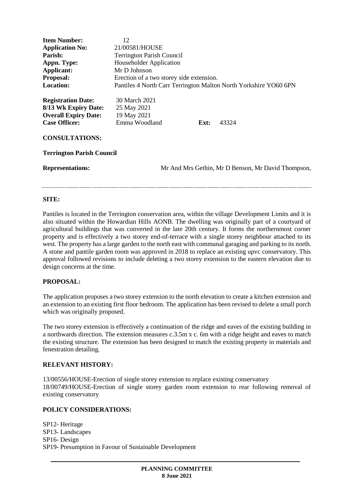| <b>Item Number:</b><br><b>Application No:</b><br>Parish:<br>Appn. Type:<br>Applicant:<br>Proposal:<br><b>Location:</b> | 12<br>21/00581/HOUSE<br><b>Terrington Parish Council</b><br>Householder Application<br>Mr D Johnson<br>Erection of a two storey side extension.<br>Pantiles 4 North Carr Terrington Malton North Yorkshire YO60 6PN |
|------------------------------------------------------------------------------------------------------------------------|---------------------------------------------------------------------------------------------------------------------------------------------------------------------------------------------------------------------|
| <b>Registration Date:</b><br>8/13 Wk Expiry Date:<br><b>Overall Expiry Date:</b><br><b>Case Officer:</b>               | 30 March 2021<br>25 May 2021<br>19 May 2021<br>Emma Woodland<br>43324<br>Ext:                                                                                                                                       |
| <b>CONSULTATIONS:</b><br><b>Terrington Parish Council</b>                                                              |                                                                                                                                                                                                                     |
| <b>Representations:</b>                                                                                                | Mr And Mrs Gethin, Mr D Benson, Mr David Thompson,                                                                                                                                                                  |

#### **SITE:**

Pantiles is located in the Terrington conservation area, within the village Development Limits and it is also situated within the Howardian Hills AONB. The dwelling was originally part of a courtyard of agricultural buildings that was converted in the late 20th century. It forms the northernmost corner property and is effectively a two storey end-of-terrace with a single storey neighbour attached to its west. The property has a large garden to the north east with communal garaging and parking to its north. A stone and pantile garden room was approved in 2018 to replace an existing upvc conservatory. This approval followed revisions to include deleting a two storey extension to the eastern elevation due to design concerns at the time.

# **PROPOSAL:**

The application proposes a two storey extension to the north elevation to create a kitchen extension and an extension to an existing first floor bedroom. The application has been revised to delete a small porch which was originally proposed.

The two storey extension is effectively a continuation of the ridge and eaves of the existing building in a northwards direction. The extension measures c.3.5m x c. 6m with a ridge height and eaves to match the existing structure. The extension has been designed to match the existing property in materials and fenestration detailing.

#### **RELEVANT HISTORY:**

13/00556/HOUSE-Erection of single storey extension to replace existing conservatory 18/00749/HOUSE-Erection of single storey garden room extension to rear following removal of existing conservatory

# **POLICY CONSIDERATIONS:**

SP12- Heritage SP13- Landscapes SP16- Design SP19- Presumption in Favour of Sustainable Development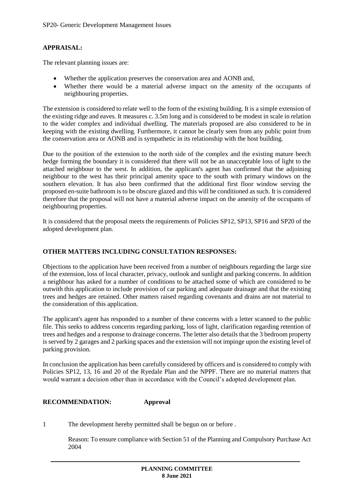# **APPRAISAL:**

The relevant planning issues are:

- Whether the application preserves the conservation area and AONB and,
- Whether there would be a material adverse impact on the amenity of the occupants of neighbouring properties.

The extension is considered to relate well to the form of the existing building. It is a simple extension of the existing ridge and eaves. It measures c. 3.5m long and is considered to be modest in scale in relation to the wider complex and individual dwelling. The materials proposed are also considered to be in keeping with the existing dwelling. Furthermore, it cannot be clearly seen from any public point from the conservation area or AONB and is sympathetic in its relationship with the host building.

Due to the position of the extension to the north side of the complex and the existing mature beech hedge forming the boundary it is considered that there will not be an unacceptable loss of light to the attached neighbour to the west. In addition, the applicant's agent has confirmed that the adjoining neighbour to the west has their principal amenity space to the south with primary windows on the southern elevation. It has also been confirmed that the additional first floor window serving the proposed en-suite bathroom is to be obscure glazed and this will be conditioned as such. It is considered therefore that the proposal will not have a material adverse impact on the amenity of the occupants of neighbouring properties.

It is considered that the proposal meets the requirements of Policies SP12, SP13, SP16 and SP20 of the adopted development plan.

# **OTHER MATTERS INCLUDING CONSULTATION RESPONSES:**

Objections to the application have been received from a number of neighbours regarding the large size of the extension, loss of local character, privacy, outlook and sunlight and parking concerns. In addition a neighbour has asked for a number of conditions to be attached some of which are considered to be outwith this application to include provision of car parking and adequate drainage and that the existing trees and hedges are retained. Other matters raised regarding covenants and drains are not material to the consideration of this application.

The applicant's agent has responded to a number of these concerns with a letter scanned to the public file. This seeks to address concerns regarding parking, loss of light, clarification regarding retention of trees and hedges and a response to drainage concerns. The letter also details that the 3 bedroom property is served by 2 garages and 2 parking spaces and the extension will not impinge upon the existing level of parking provision.

In conclusion the application has been carefully considered by officers and is considered to comply with Policies SP12, 13, 16 and 20 of the Ryedale Plan and the NPPF. There are no material matters that would warrant a decision other than in accordance with the Council's adopted development plan.

#### **RECOMMENDATION: Approval**

1 The development hereby permitted shall be begun on or before .

Reason: To ensure compliance with Section 51 of the Planning and Compulsory Purchase Act 2004